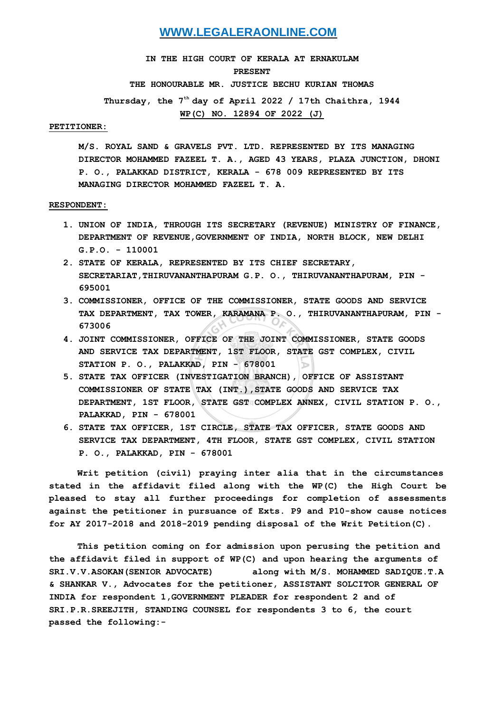## **WWW.LEGALERAONLINE.COM**

**IN THE HIGH COURT OF KERALA AT ERNAKULAM PRESENT THE HONOURABLE MR. JUSTICE BECHU KURIAN THOMAS Thursday, the 7th day of April 2022 / 17th Chaithra, 1944 WP(C) NO. 12894 OF 2022 (J)**

### **PETITIONER:**

**M/S. ROYAL SAND & GRAVELS PVT. LTD. REPRESENTED BY ITS MANAGING DIRECTOR MOHAMMED FAZEEL T. A., AGED 43 YEARS, PLAZA JUNCTION, DHONI P. O., PALAKKAD DISTRICT, KERALA - 678 009 REPRESENTED BY ITS MANAGING DIRECTOR MOHAMMED FAZEEL T. A.**

#### **RESPONDENT:**

- **1. UNION OF INDIA, THROUGH ITS SECRETARY (REVENUE) MINISTRY OF FINANCE, DEPARTMENT OF REVENUE,GOVERNMENT OF INDIA, NORTH BLOCK, NEW DELHI G.P.O. - 110001**
- **2. STATE OF KERALA, REPRESENTED BY ITS CHIEF SECRETARY, SECRETARIAT,THIRUVANANTHAPURAM G.P. O., THIRUVANANTHAPURAM, PIN - 695001**
- **3. COMMISSIONER, OFFICE OF THE COMMISSIONER, STATE GOODS AND SERVICE TAX DEPARTMENT, TAX TOWER, KARAMANA P. O., THIRUVANANTHAPURAM, PIN - 673006**
- **4. JOINT COMMISSIONER, OFFICE OF THE JOINT COMMISSIONER, STATE GOODS AND SERVICE TAX DEPARTMENT, 1ST FLOOR, STATE GST COMPLEX, CIVIL STATION P. O., PALAKKAD, PIN - 678001**
- **5. STATE TAX OFFICER (INVESTIGATION BRANCH), OFFICE OF ASSISTANT COMMISSIONER OF STATE TAX (INT.),STATE GOODS AND SERVICE TAX DEPARTMENT, 1ST FLOOR, STATE GST COMPLEX ANNEX, CIVIL STATION P. O., PALAKKAD, PIN - 678001**
- **6. STATE TAX OFFICER, 1ST CIRCLE, STATE TAX OFFICER, STATE GOODS AND SERVICE TAX DEPARTMENT, 4TH FLOOR, STATE GST COMPLEX, CIVIL STATION P. O., PALAKKAD, PIN - 678001**

**Writ petition (civil) praying inter alia that in the circumstances stated in the affidavit filed along with the WP(C) the High Court be pleased to stay all further proceedings for completion of assessments against the petitioner in pursuance of Exts. P9 and P10-show cause notices for AY 2017-2018 and 2018-2019 pending disposal of the Writ Petition(C).**

**This petition coming on for admission upon perusing the petition and the affidavit filed in support of WP(C) and upon hearing the arguments of SRI.V.V.ASOKAN(SENIOR ADVOCATE) along with M/S. MOHAMMED SADIQUE.T.A & SHANKAR V., Advocates for the petitioner, ASSISTANT SOLCITOR GENERAL OF INDIA for respondent 1,GOVERNMENT PLEADER for respondent 2 and of SRI.P.R.SREEJITH, STANDING COUNSEL for respondents 3 to 6, the court passed the following:-**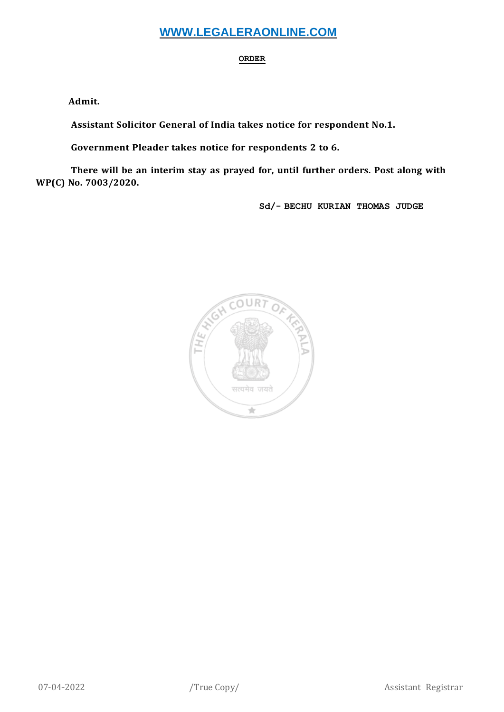# **WWW.LEGALERAONLINE.COM**

## **ORDER**

**Admit.**

**Assistant Solicitor General of India takes notice for respondent No.1.**

**Government Pleader takes notice for respondents 2 to 6.**

**There will be an interim stay as prayed for, until further orders. Post along with WP(C) No. 7003/2020.**

**Sd/- BECHU KURIAN THOMAS JUDGE**